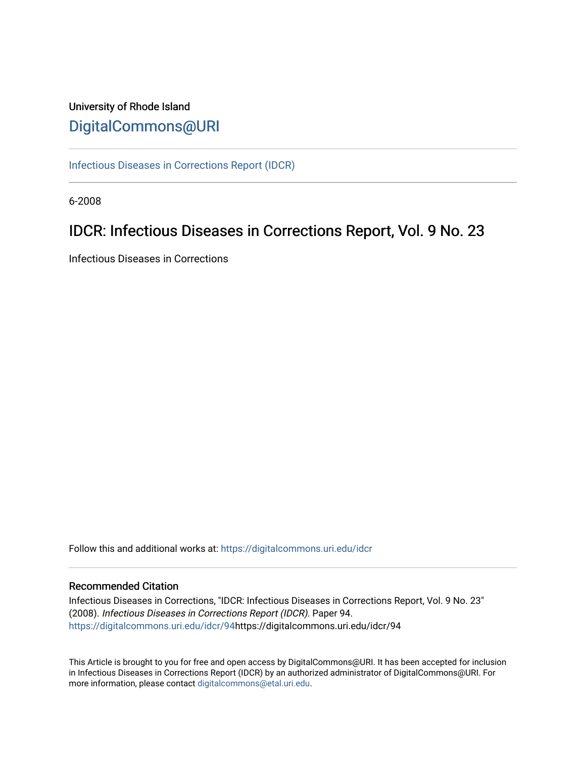# University of Rhode Island [DigitalCommons@URI](https://digitalcommons.uri.edu/)

[Infectious Diseases in Corrections Report \(IDCR\)](https://digitalcommons.uri.edu/idcr)

6-2008

# IDCR: Infectious Diseases in Corrections Report, Vol. 9 No. 23

Infectious Diseases in Corrections

Follow this and additional works at: [https://digitalcommons.uri.edu/idcr](https://digitalcommons.uri.edu/idcr?utm_source=digitalcommons.uri.edu%2Fidcr%2F94&utm_medium=PDF&utm_campaign=PDFCoverPages)

### Recommended Citation

Infectious Diseases in Corrections, "IDCR: Infectious Diseases in Corrections Report, Vol. 9 No. 23" (2008). Infectious Diseases in Corrections Report (IDCR). Paper 94. [https://digitalcommons.uri.edu/idcr/94h](https://digitalcommons.uri.edu/idcr/94?utm_source=digitalcommons.uri.edu%2Fidcr%2F94&utm_medium=PDF&utm_campaign=PDFCoverPages)ttps://digitalcommons.uri.edu/idcr/94

This Article is brought to you for free and open access by DigitalCommons@URI. It has been accepted for inclusion in Infectious Diseases in Corrections Report (IDCR) by an authorized administrator of DigitalCommons@URI. For more information, please contact [digitalcommons@etal.uri.edu.](mailto:digitalcommons@etal.uri.edu)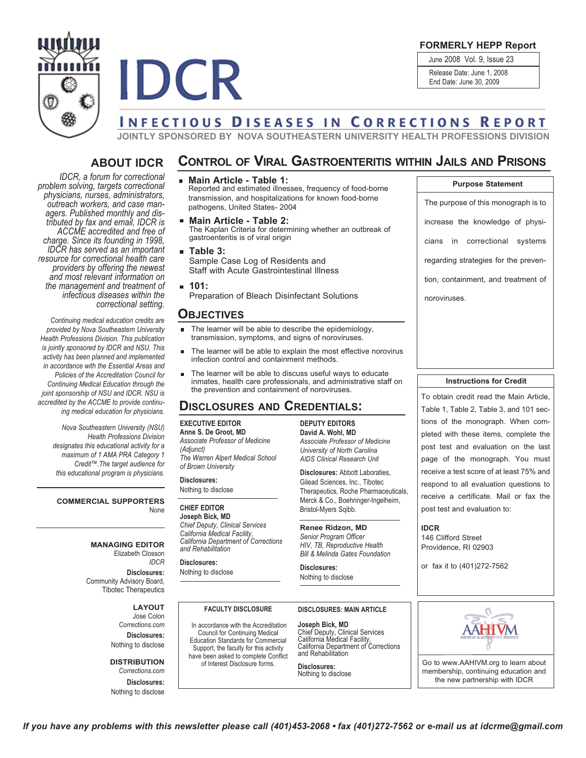

**FORMERLY HEPP Report**

June 2008 Vol. 9, Issue 23

Release Date: June 1, 2008

End Date: June 30, 2009

# **INFECTIOUS DISEASES IN CORRECTIONS REPORT**

**JOINTLY SPONSORED BY NOVA SOUTHEASTERN UNIVERSITY HEALTH PROFESSIONS DIVISION**

# **ABOUT IDCR**

**IDCR** 

*IDCR, a forum for correctional problem solving, targets correctional* outreach workers, and case man-<br>agers. Published monthly and dis-<br>tributed by fax and email, IDCR is *ACCME accredited and free of charge. Since its founding in 1998, IDCR has served as an important resource for correctional health care providers by offering the newest and most relevant information on the management and treatment of infectious diseases within the correctional setting.*

*Continuing medical education credits are provided by Nova Southeastern University Health Professions Division. This publication is jointly sponsored by IDCR and NSU. This activity has been planned and implemented in accordance with the Essential Areas and Policies of the Accreditation Council for Continuing Medical Education through the joint sponsorship of NSU and IDCR. NSU is accredited by the ACCME to provide continuing medical education for physicians.*

*Nova Southeastern University (NSU) Health Professions Division designates this educational activity for a maximum of 1 AMA PRA Category 1 Credit™.The target audience for this educational program is physicians.*

**COMMERCIAL SUPPORTERS** None

> **MANAGING EDITOR** Elizabeth Closson

**Disclosures:** Community Advisory Board, Tibotec Therapeutics

> **LAYOUT** Jose Colon *Corrections.com* **Disclosures:** Nothing to disclose

*IDCR*

#### **DISTRIBUTION** *Corrections.com*

**Disclosures:** Nothing to disclose

# **CONTROL OF VIRAL GASTROENTERITIS WITHIN JAILS AND PRISONS**

- **Main Article - Table 1:** Reported and estimated illnesses, frequency of food-borne transmission, and hospitalizations for known food-borne pathogens, United States- 2004
- **Main Article - Table 2:** The Kaplan Criteria for determining whether an outbreak of gastroenteritis is of viral origin
- **Table 3:** Sample Case Log of Residents and Staff with Acute Gastrointestinal Illness
- **101:** Preparation of Bleach Disinfectant Solutions

## **OBJECTIVES**

- The learner will be able to describe the epidemiology, п. transmission, symptoms, and signs of noroviruses.
- The learner will be able to explain the most effective norovirus infection control and containment methods.
- The learner will be able to discuss useful ways to educate inmates, health care professionals, and administrative staff on the prevention and containment of noroviruses.

# **DISCLOSURES AND CREDENTIALS:**

#### **EXECUTIVE EDITOR**

**Anne S. De Groot, MD** *Associate Professor of Medicine (Adjunct) The Warren Alpert Medical School of Brown University*

**Disclosures:** Nothing to disclose

### **CHIEF EDITOR**

**Joseph Bick, MD** *Chief Deputy, Clinical Services California Medical Facility, California Department of Corrections and Rehabilitation*

# **Disclosures:**

Nothing to disclose

**FACULTY DISCLOSURE** In accordance with the Accreditation Council for Continuing Medical Education Standards for Commercial Support, the faculty for this activity have been asked to complete Conflict of Interest Disclosure forms.

**DEPUTY EDITORS David A. Wohl, MD** *Associate Professor of Medicine University of North Carolina AIDS Clinical Research Unit*

Gilead Sciences, Inc., Tibotec Therapeutics, Roche Pharmaceuticals, Merck & Co., Boehringer-Ingelheim, Bristol-Myers Sqibb.

#### **Renee Ridzon, MD**

*HIV, TB, Reproductive Health Bill & Melinda Gates Foundation*

Nothing to disclose

#### **DISCLOSURES: MAIN ARTICLE**

**Joseph Bick, MD** Chief Deputy, Clinical Services<br>California Medical Facility,<br>California Department of Corrections<br>and Rehabilitation

**Disclosures:** Nothing to disclose

The purpose of this monograph is to increase the knowledge of physicians in correctional systems regarding strategies for the prevention, containment, and treatment of noroviruses. **Purpose Statement**

#### **Instructions for Credit**

To obtain credit read the Main Article, Table 1, Table 2, Table 3, and 101 sections of the monograph. When completed with these items, complete the post test and evaluation on the last page of the monograph. You must receive a test score of at least 75% and respond to all evaluation questions to receive a certificate. Mail or fax the post test and evaluation to:

**IDCR** 146 Clifford Street Providence, RI 02903

or fax it to (401)272-7562



Go to www.AAHIVM.org to learn about membership, continuing education and the new partnership with IDCR

**Disclosures:** Abbott Laboraties,

*Senior Program Officer*

**Disclosures:**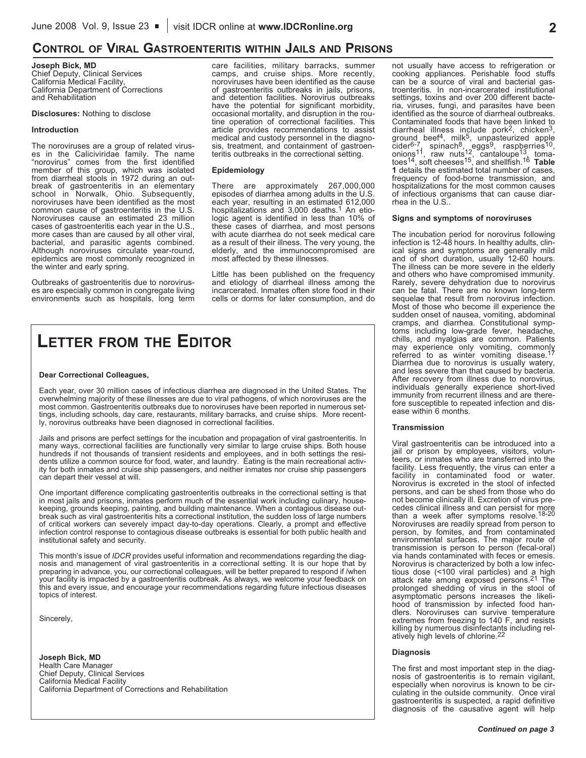# **CONTROL OF VIRAL GASTROENTERITIS WITHIN JAILS AND PRISONS**

**Joseph Bick, MD** Chief Deputy, Clinical Services California Medical Facility, California Department of Corrections and Rehabilitation

#### **Disclosures:** Nothing to disclose

#### **Introduction**

The noroviruses are a group of related virus-<br>es in the Caliciviridae family. The name "norovirus" comes from the first identified member of this group, which was isolated from diarrheal stools in 1972 during an outbreak of gastroenteritis in an elementary school in Norwalk, Ohio. Subsequently, noroviruses have been identified as the most common cause of gastroenteritis in the U.S. Noroviruses cause an estimated <sup>23</sup> million cases of gastroenteritis each year in the U.S., more cases than are caused by all other viral, bacterial, and parasitic agents combined. Although noroviruses circulate year-round, epidemics are most commonly recognized in the winter and early spring.

Outbreaks of gastroenteritis due to noroviruses are especially common in congregate living environments such as hospitals, long term care facilities, military barracks, summer camps, and cruise ships. More recently, noroviruses have been identified as the cause<br>of gastroenteritis outbreaks in jails, prisons, and detention facilities. Norovirus outbreaks have the potential for significant morbidity, occasional mortality, and disruption in the routine operation of correctional facilities. This article provides recommendations to assist medical and custody personnel in the diagnosis, treatment, and containment of gastroenteritis outbreaks in the correctional setting.

#### **Epidemiology**

There are approximately 267,000,000 episodes of diarrhea among adults in the U.S. each year, resulting in an estimated 612,000 hospitalizations and 3,000 deaths.1 An etiologic agent is identified in less than 10% of these cases of diarrhea, and most persons with acute diarrhea do not seek medical care as a result of their illness. The very young, the elderly, and the immunocompromised are most affected by these illnesses.

Little has been published on the frequency and etiology of diarrheal illness among the incarcerated. Inmates often store food in their cells or dorms for later consumption, and do

# **LETTER FROM THE EDITOR**

#### **Dear Correctional Colleagues,**

Each year, over 30 million cases of infectious diarrhea are diagnosed in the United States. The overwhelming majority of these illnesses are due to viral pathogens, of which noroviruses are the most common. Gastroenteritis outbreaks due to noroviruses have been reported in numerous settings, including schools, day care, restaurants, military barracks, and cruise ships. More recently, norovirus outbreaks have been diagnosed in correctional facilities.

Jails and prisons are perfect settings for the incubation and propagation of viral gastroenteritis. In many ways, correctional facilities are functionally very similar to large cruise ships. Both house hundreds if not thousands of transient residents and employees, and in both settings the residents utilize a common source for food, water, and laundry. Eating is the main recreational activity for both inmates and cruise ship passengers, and neither inmates nor cruise ship passengers can depart their vessel at will.

One important difference complicating gastroenteritis outbreaks in the correctional setting is that in most jails and prisons, inmates perform much of the essential work including culinary, housekeeping, grounds keeping, painting, and building maintenance. When a contagious disease outbreak such as viral gastroenteritis hits a correctional institution, the sudden loss of large numbers of critical workers can severely impact day-to-day operations. Clearly, a prompt and effective infection control response to contagious disease outbreaks is essential for both public health and institutional safety and security.

This month's issue of *IDCR* provides useful information and recommendations regarding the diagnosis and management of viral gastroenteritis in a correctional setting. It is our hope that by preparing in advance, you, our correctional colleagues, will be better prepared to respond if /when your facility is impacted by a gastroenteritis outbreak. As always, we welcome your feedback on this and every issue, and encourage your recommendations regarding future infectious diseases topics of interest.

Sincerely,

**Joseph Bick, MD** Health Care Manager Chief Deputy, Clinical Services California Medical Facility California Department of Corrections and Rehabilitation

not usually have access to refrigeration or cooking appliances. Perishable food stuffs troenteritis. In non-incarcerated institutional settings, toxins and over 200 different bacteria, viruses, fungi, and parasites have been<br>identified as the source of diarrheal outbreaks. identified as the source of diarrheal outbreaks. Contaminated foods that have been linked to diarrheal illness include pork<sup>2</sup>, chicken<sup>3</sup>, ground beef<sup>4</sup>, milk<sup>5</sup>, unpasteurized apple cider<sup>6-7</sup>, spinach<sup>8</sup>, eggs<sup>9</sup>, raspberries<sup>10</sup>, onions<sup>11</sup>, raw nuts<sup>12</sup>, cantaloupe<sup>13</sup>, tomatoes14, soft cheeses15, and shellfish.16 **Table <sup>1</sup>** details the estimated total number of cases, frequency of food-borne transmission, and hospitalizations for the most common causes of infectious organisms that can cause diarrhea in the U.S..

#### **Signs and symptoms of noroviruses**

The incubation period for norovirus following infection is 12-48 hours. In healthy adults, clinical signs and symptoms are generally mild band of short duration, usually 12-60 hours.<br>The illness can be more severe in the elderly<br>and others who have compromised immunity. Rarely, severe dehydration due to norovirus can be fatal. There are no known long-term sequelae that result from norovirus infection. Most of those who become ill experience the sudden onset of nausea, vomiting, abdominal cramps, and diarrhea. Constitutional sympchills, and myalgias are common. Patients may experience only vomiting, commonly referred to as winter vomiting disease.<sup>17</sup> Diarrhea due to norovirus is usually watery, After recovery from illness due to norovirus, individuals generally experience short-lived immunity from recurrent illness and are therefore susceptible to repeated infection and dis- ease within <sup>6</sup> months.

#### **Transmission**

Viral gastroenteritis can be introduced into a<br>jail or prison by employees, visitors, volunteers, or inmates who are transferred into the facility. Less frequently, the virus can enter a<br>facility in contaminated food or water. Norovirus is excreted in the stool of infected<br>persons, and can be shed from those who do not become clinically ill. Excretion of virus precedes clinical illness and can persist for more than a week after symptoms resolve.<sup>18-20</sup> Noroviruses are readily spread from person to person, by fomites, and from contaminated environmental surfaces. The major route of transmission is person to person (fecal-oral) via hands contaminated with feces or emesis.<br>Norovirus is characterized by both a low infec-Norovirus is characterized by both a low infec-<br>tious dose (<100 viral particles) and a high attack rate among exposed persons.<sup>21</sup> The prolonged shedding of virus in the stool of asymptomatic persons increases the likelihood of transmission by infected food handlers. Noroviruses can survive temperature extremes from freezing to 140 F, and resists killing by numerous disinfectants including relatively high levels of chlorine.<sup>22</sup>

#### **Diagnosis**

The first and most important step in the diag- nosis of gastroenteritis is to remain vigilant, especially when norovirus is known to be circulating in the outside community. Once viral gastroenteritis is suspected, a rapid definitive diagnosis of the causative agent will help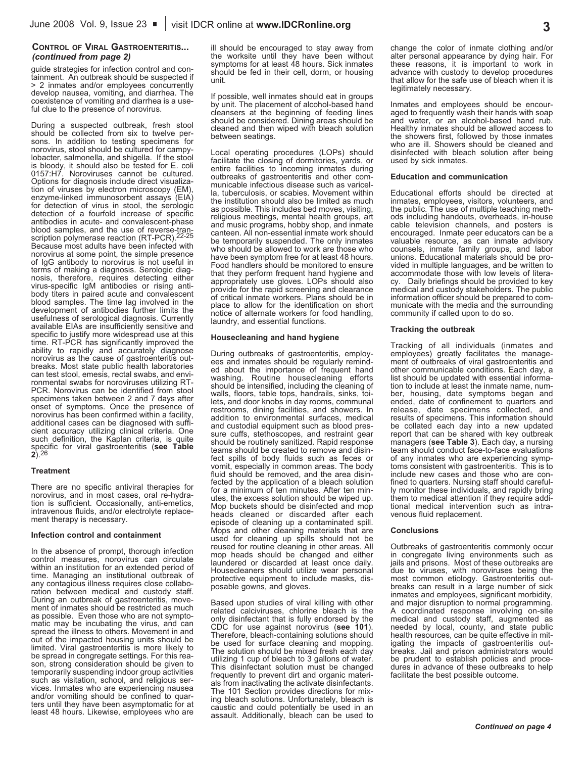#### **CONTROL OF VIRAL GASTROENTERITIS...** *(continued from page 2)*

guide strategies for infection control and con-<br>tainment. An outbreak should be suspected if > 2 inmates and/or employees concurrently develop nausea, vomiting, and diarrhea. The coexistence of vomiting and diarrhea is a useful clue to the presence of norovirus.

During a suspected outbreak, fresh stool should be collected from six to twelve persons. In addition to testing specimens for norovirus, stool should be cultured for campylobacter, salmonella, and shigella. If the stool is bloody, it should also be tested for E. coli 0157:H7. Noroviruses cannot be cultured.<br>Options for diagnosis include direct visualization of viruses by electron microscopy (EM), enzyme-linked immunosorbent assays (EIA) for detection of virus in stool, the serologic detection of a fourfold increase of specific antibodies in acute- and convalescent-phase blood samples, and the use of reverse-tran-<br>scription polymerase reaction (RT-PCR).<sup>22-25</sup> Because most adults have been infected with norovirus at some point, the simple presence of IgG antibody to norovirus is not useful in terms of making a diagnosis. Serologic diagnosis, therefore, requires detecting either<br>virus-specific IgM antibodies or rising antibody titers in paired acute and convalescent blood samples. The time lag involved in the development of antibodies further limits the usefulness of serological diagnosis. Currently available EIAs are insufficiently sensitive and specific to justify more widespread use at this time. RT-PCR has significantly improved the ability to rapidly and accurately diagnose<br>norovirus as the cause of gastroenteritis outbreaks. Most state public health laboratories<br>can test stool, emesis, rectal swabs, and environmental swabs for noroviruses utilizing RT-PCR. Norovirus can be identified from stool specimens taken between 2 and 7 days after onset of symptoms. Once the presence of norovirus has been confirmed within <sup>a</sup> facility, additional cases can be diagnosed with sufficient accuracy utilizing clinical criteria. One such definition, the Kaplan criteria, is quite specific for viral gastroenteritis (**see Table 2**).26

#### **Treatment**

There are no specific antiviral therapies for norovirus, and in most cases, oral re-hydranorovirus, and in most cases, oral re-hydra-<br>ition is sufficient. Occasionally, anti-emetics, intravenous fluids, and/or electrolyte replacement therapy is necessary.

#### **Infection control and containment**

In the absence of prompt, thorough infection control measures, norovirus can circulate within an institution for an extended period of time. Managing an institutional outbreak of any contagious illness requires close collabo-<br>ration between medical and custody staff. During an outbreak of gastroenteritis, movement of inmates should be restricted as much<br>as possible. Even those who are not symptomatic may be incubating the virus, and can spread the illness to others. Movement in and out of the impacted housing units should be limited. Viral gastroenteritis is more likely to be spread in congregate settings. For this reason, strong consideration should be given to temporarily suspending indoor group activities vices. Inmates who are experiencing nausea and/or vomiting should be confined to quarters until they have been asymptomatic for at least 48 hours. Likewise, employees who are

ill should be encouraged to stay away from the worksite until they have been without symptoms for at least 48 hours. Sick inmates should be fed in their cell, dorm, or housing unit.

If possible, well inmates should eat in groups by unit. The placement of alcohol-based hand cleansers at the beginning of feeding lines should be considered. Dining areas should be cleaned and then wiped with bleach solution between seatings.

Local operating procedures (LOPs) should facilitate the closing of dormitories, yards, or entire facilities to incoming inmates during<br>outbreaks of gastroenteritis and other communicable infectious disease such as varicel-<br>la, tuberculosis, or scabies. Movement within the institution should also be limited as much as possible. This includes bed moves, visiting, religious meetings, mental health groups, art and music programs, hobby shop, and inmate canteen. All non-essential inmate work should be temporarily suspended. The only inmates who should be allowed to work are those who<br>have been symptom free for at least 48 hours. Food handlers should be monitored to ensure. that they perform frequent hand hygiene and appropriately use gloves. LOPs should also provide for the rapid screening and clearance place to allow for the identification on short notice of alternate workers for food handling, laundry, and essential functions.

#### **Housecleaning and hand hygiene**

During outbreaks of gastroenteritis, employ- ees and inmates should be regularly reminded about the importance of frequent hand washing. Routine housecleaning efforts should be intensified, including the cleaning of walls, floors, table tops, handrails, sinks, toirestrooms, dining facilities, and showers. In addition to environmental surfaces, medical and custodial equipment such as blood pres- sure cuffs, stethoscopes, and restraint gear should be routinely sanitized. Rapid response fect spills of body fluids such as feces or vomit, especially in common areas. The body fluid should be removed, and the area disin-<br>fected by the application of a bleach solution for a minimum of ten minutes. After ten min-<br>utes, the excess solution should be wiped up. Mop buckets should be disinfected and mop heads cleaned or discarded after each<br>episode of cleaning up a contaminated spill. Mops and other cleaning materials that are<br>used for cleaning up spills should not be reused for routine cleaning in other areas. All<br>mop heads should be changed and either laundered or discarded at least once daily.<br>Housecleaners should utilize wear personal protective equipment to include masks, disposable gowns, and gloves.

Based upon studies of viral killing with other related calciviruses, chlorine bleach is the only disinfectant that is fully endorsed by the CDC for use against norovirus (see 101). Therefore, bleach-containing solutions should be used for surface cleaning and mopping.<br>The solution should be mixed fresh each day utilizing 1 cup of bleach to 3 gallons of water. This disinfectant solution must be changed<br>frequently to prevent dirt and organic materials from inactivating the activate disinfectants.<br>The 101 Section provides directions for mixing bleach solutions. Unfortunately, bleach is caustic and could potentially be used in an assault. Additionally, bleach can be used to change the color of inmate clothing and/or alter personal appearance by dying hair. For these reasons, it is important to work in advance with custody to develop procedures that allow for the safe use of bleach when it is legitimately necessary.

Inmates and employees should be encour- aged to frequently wash their hands with soap and water, or an alcohol-based hand rub. Healthy inmates should be allowed access to the showers first, followed by those inmates who are ill. Showers should be cleaned and disinfected with bleach solution after being used by sick inmates.

#### **Education and communication**

Educational efforts should be directed at inmates, employees, visitors, volunteers, and the public. The use of multiple teaching methods including handouts, overheads, in-house cable television channels, and posters is encouraged. Inmate peer educators can be a valuable resource, as can inmate advisory counsels, inmate family groups, and labor vided in multiple languages, and be written to accommodate those with low levels of literacy. Daily briefings should be provided to key medical and custody stakeholders. The public<br>information officer should be prepared to communicate with the media and the surrounding community if called upon to do so.

#### **Tracking the outbreak**

Tracking of all individuals (inmates and employees) greetly facilitates of viral gastroenteritis and other communicable conditions. Each day, a list should be updated with essential information to include at least the inmate name, number, housing, date symptoms began and<br>ended, date of confinement to quarters and release, date specimens collected, and results of specimens. This information should<br>be collated each day into a new updated report that can be shared with key outbreak managers (**see Table 3**). Each day, a nursing team should conduct face-to-face evaluations<br>of any inmates who are experiencing symptoms consistent with gastroenteritis. This is to include new cases and those who are conly monitor these individuals, and rapidly bring them to medical attention if they require additional medical intervention such as intra- venous fluid replacement.

#### **Conclusions**

Outbreaks of gastroenteritis commonly occur in congregate living environments such as jails and prisons. Most of these outbreaks are due to viruses, with noroviruses being the most common etiology. Gastroenteritis outmost common result in a large number of sick<br>inmates and employees, significant morbidity, and major disruption to normal programming.<br>A coordinated response involving on-site medical and custody staff, augmented as needed by local, county, and state public health resources, can be quite effective in mit-<br>igating the impacts of gastroenteritis outbreaks. Jail and prison administrators would be prudent to establish policies and procedures in advance of these outbreaks to help facilitate the best possible outcome.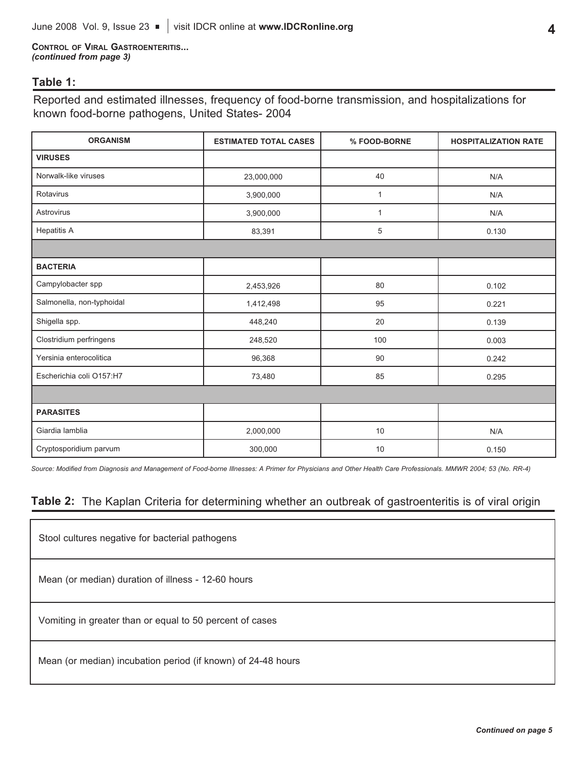**CONTROL OF VIRAL GASTROENTERITIS...** *(continued from page 3)*

## **Table 1:**

Reported and estimated illnesses, frequency of food-borne transmission, and hospitalizations for known food-borne pathogens, United States- 2004

| <b>ORGANISM</b>           | <b>ESTIMATED TOTAL CASES</b> | % FOOD-BORNE | <b>HOSPITALIZATION RATE</b> |  |  |  |  |
|---------------------------|------------------------------|--------------|-----------------------------|--|--|--|--|
| <b>VIRUSES</b>            |                              |              |                             |  |  |  |  |
| Norwalk-like viruses      | 23,000,000                   | 40           | N/A                         |  |  |  |  |
| Rotavirus                 | 3,900,000                    | $\mathbf{1}$ | N/A                         |  |  |  |  |
| Astrovirus                | 3,900,000                    | $\mathbf{1}$ | N/A                         |  |  |  |  |
| <b>Hepatitis A</b>        | 83,391                       | 5            | 0.130                       |  |  |  |  |
|                           |                              |              |                             |  |  |  |  |
| <b>BACTERIA</b>           |                              |              |                             |  |  |  |  |
| Campylobacter spp         | 2,453,926                    | 80           | 0.102                       |  |  |  |  |
| Salmonella, non-typhoidal | 1,412,498                    | 95           | 0.221                       |  |  |  |  |
| Shigella spp.             | 448,240                      | 20           | 0.139                       |  |  |  |  |
| Clostridium perfringens   | 248,520                      | 100          | 0.003                       |  |  |  |  |
| Yersinia enterocolitica   | 96,368                       | 90           | 0.242                       |  |  |  |  |
| Escherichia coli O157:H7  | 73,480                       | 85           | 0.295                       |  |  |  |  |
|                           |                              |              |                             |  |  |  |  |
| <b>PARASITES</b>          |                              |              |                             |  |  |  |  |
| Giardia lamblia           | 2,000,000                    | 10           | N/A                         |  |  |  |  |
| Cryptosporidium parvum    | 300,000                      | 10           | 0.150                       |  |  |  |  |

Source: Modified from Diagnosis and Management of Food-borne Illnesses: A Primer for Physicians and Other Health Care Professionals. MMWR 2004; 53 (No. RR-4)

# **Table 2:** The Kaplan Criteria for determining whether an outbreak of gastroenteritis is of viral origin

| Stool cultures negative for bacterial pathogens              |  |  |  |  |  |
|--------------------------------------------------------------|--|--|--|--|--|
| Mean (or median) duration of illness - 12-60 hours           |  |  |  |  |  |
| Vomiting in greater than or equal to 50 percent of cases     |  |  |  |  |  |
| Mean (or median) incubation period (if known) of 24-48 hours |  |  |  |  |  |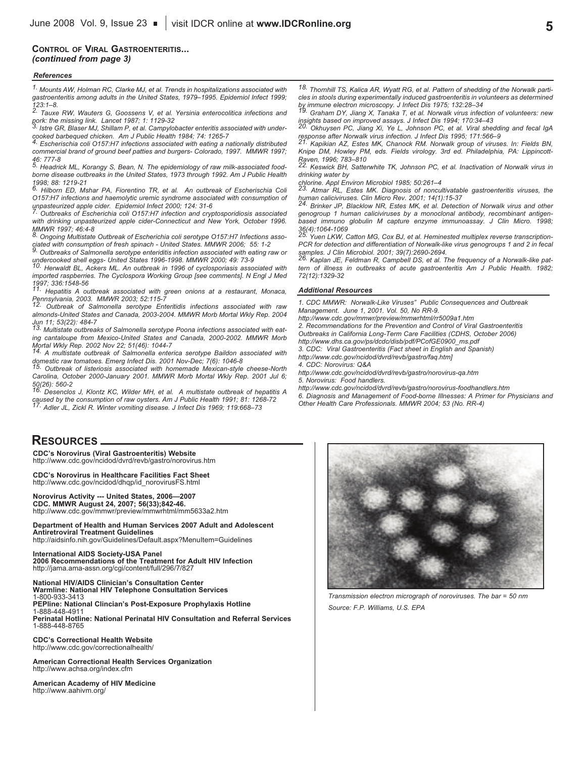#### **CONTROL OF VIRAL GASTROENTERITIS...** *(continued from page 3)*

#### *References*

*1. Mounts AW, Holman RC, Clarke MJ, et al. Trends in hospitalizations associated with gastroenteritis among adults in the United States, 1979–1995. Epidemiol Infect 1999; 123:1–8. 2. Tauxe RW, Wauters G, Goossens V, et al. Yersinia enterocolitica infections and*

pork: the missing link. Lancet 1987; 1: 1129-32<br><sup>3.</sup> Istre GR, Blaser MJ, Shillam P, et al. Campylobacter enteritis associated with under-

cooked barbequed chicken. Am J Public Health 1984; 74: 1265-7<br><sup>4.</sup> Escherischia coli O157:H7 infections associated with eating a nationally distributed *commercial brand of ground beef patties and burgers- Colorado, 1997. MMWR 1997; 46: 777-8*

*5. Headrick ML, Korangy S, Bean, N. The epidemiology of raw milk-associated foodborne disease outbreaks in the United States, 1973 through 1992. Am J Public Health 1998; 88: 1219-21*

*6. Hilborn ED, Mshar PA, Fiorentino TR, et al. An outbreak of Escherischia Coli O157:H7 infections and haemolytic uremic syndrome associated with consumption of*

unpasteurized apple cider. Epidemiol Infect 2000; 124: 31-6<br><sup>7.</sup> Outbreaks of Escherichia coli O157:H7 infection and cryptosporidiosis associated *with drinking unpasteurized apple cider-Connecticut and New York, October 1996. MMWR 1997; 46:4-8*

*8. Ongoing Multistate Outbreak of Escherichia coli serotype O157:H7 Infections associated with consumption of fresh spinach - United States. MMWR 2006; 55: 1-2*

*9. Outbreaks of Salmonella serotype enteriditis infection associated with eating raw or undercooked shell eggs- United States 1996-1998. MMWR 2000; 49: 73-9*

*10. Herwaldt BL, Ackers ML. An outbreak in 1996 of cyclosporiasis associated with imported raspberries. The Cyclospora Working Group [see comments]. N Engl J Med 1997; 336:1548-56*

*11. Hepatitis A outbreak associated with green onions at a restaurant, Monaca, Pennsylvania, 2003. MMWR 2003; 52:115-7*

*12. Outbreak of Salmonella serotype Enteritidis infections associated with raw almonds-United States and Canada, 2003-2004. MMWR Morb Mortal Wkly Rep. 2004*

*Jun 11; 53(22): 484-7 13. Multistate outbreaks of Salmonella serotype Poona infections associated with eating cantaloupe from Mexico-United States and Canada, 2000-2002. MMWR Morb*

Mortal Wkly Rep. 2002 Nov 22; 51(46): 1044-7<br><sup>14.</sup> A multistate outbreak of Salmonella enterica serotype Baildon associated with

domestic raw tomatoes. Emerg Infect Dis. 2001 Nov-Dec; 7(6): 1046-8<br><sup>15.</sup> Outbreak of listeriosis associated with homemade Mexican-style cheese-North *Carolina, October 2000-January 2001. MMWR Morb Mortal Wkly Rep. 2001 Jul 6;*

*50(26): 560-2 16. Desenclos J, Klontz KC, Wilder MH, et al. A multistate outbreak of hepatitis A* caused by the consumption of raw oysters. Am J Public Health 1991; 81: 1268-72<br><sup>17.</sup> Adler JL, Zickl R. Winter vomiting disease. J Infect Dis 1969; 119:668–73

### **RESOURCES**

**CDC's Norovirus (Viral Gastroenteritis) Website** http://www.cdc.gov/ncidod/dvrd/revb/gastro/norovirus.htm

**CDC's Norovirus in Healthcare Facilities Fact Sheet** http://www.cdc.gov/ncidod/dhqp/id\_norovirusFS.html

**Norovirus Activity --- United States, 2006—2007**

**CDC. MMWR August 24, 2007; 56(33);842-46.** http://www.cdc.gov/mmwr/preview/mmwrhtml/mm5633a2.htm

**Department of Health and Human Services 2007 Adult and Adolescent**

**Antiretroviral Treatment Guidelines** http://aidsinfo.nih.gov/Guidelines/Default.aspx?MenuItem=Guidelines

**International AIDS Society-USA Panel <sup>2006</sup> Recommendations of the Treatment for Adult HIV Infection** http://jama.ama-assn.org/cgi/content/full/296/7/827

**National HIV/AIDS Clinician's Consultation Center Warmline: National HIV Telephone Consultation Services** 1-800-933-3413 **PEPline: National Clincian's Post-Exposure Prophylaxis Hotline** 1-888-448-4911 **Perinatal Hotline: National Perinatal HIV Consultation and Referral Services** 1-888-448-8765

**CDC's Correctional Health Website** http://www.cdc.gov/correctionalhealth/

**American Correctional Health Services Organization** http://www.achsa.org/index.cfm

**American Academy of HIV Medicine** http://www.aahivm.org/

*18. Thornhill TS, Kalica AR, Wyatt RG, et al. Pattern of shedding of the Norwalk particles in stools during experimentally induced gastroenteritis in volunteers as determined*

by immune electron microscopy. J Infect Dis 1975; 132:28–34<br><sup>19.</sup> Graham DY, Jiang X, Tanaka T, et al. Norwalk virus infection of volunteers: new insights based on improved assays. J Infect Dis 1994; 170:34–43<br><sup>20.</sup> Okhuysen PC, Jiang Xi, Ye L, Johnson PC, et al. Viral shedding and fecal IgA

response after Norwalk virus infection. J Infect Dis 1995; 171:566–9<br><sup>21.</sup> Kapikian AZ, Estes MK, Chanock RM. Norwalk group of viruses. In: Fields BN, *Knipe DM, Howley PM, eds. Fields virology. 3rd ed. Philadelphia, PA: Lippincott-*

*Raven, 1996; 783–810 22. Keswick BH, Satterwhite TK, Johnson PC, et al. Inactivation of Norwalk virus in drinking water by*

*chlorine. Appl Environ Microbiol 1985; 50:261–4*

*23. Atmar RL, Estes MK. Diagnosis of noncultivatable gastroenteritis viruses, the*

human caliciviruses. Clin Micro Rev. 2001; 14(1):15-37<br><sup>24.</sup> Brinker JP, Blacklow NR, Estes MK, et al. Detection of Norwalk virus and other *genogroup 1 human caliciviruses by a monoclonal antibody, recombinant antigenbased immuno globulin M capture enzyme immunoassay. J Clin Micro. 1998;*

*36(4):1064-1069 25. Yuen LKW, Catton MG, Cox BJ, et al. Heminested multiplex reverse transcription-PCR for detection and differentiation of Norwalk-like virus genogroups 1 and 2 in fecal* samples. J Clin Microbiol. 2001; 39(7):2690-2694.<br>Samples. J Clin Microbiol. 2001; 39(7):2690-2694.<br><sup>26.</sup> Kaplan JE, Feldman R, Campbell DS, et al. The frequency of a Norwalk-like pat-

*tern of illness in outbreaks of acute gastroenteritis Am J Public Health. 1982; 72(12):1329-32*

#### *Additional Resources*

*1. CDC MMWR: Norwalk-Like Viruses" Public Consequences and Outbreak Management. June 1, 2001. Vol. 50, No RR-9.*

*http://www.cdc.gov/mmwr/preview/mmwrhtml/rr5009a1.htm*

*2. Recommendations for the Prevention and Control of Viral Gastroenteritis Outbreaks in California Long-Term Care Facilities (CDHS, October 2006) http://www.dhs.ca.gov/ps/dcdc/disb/pdf/PCofGE0900\_ms.pdf*

*3. CDC: Viral Gastroenteritis (Fact sheet in English and Spanish)*

*http://www.cdc.gov/ncidod/dvrd/revb/gastro/faq.htm]*

*4. CDC: Norovirus: Q&A*

*http://www.cdc.gov/ncidod/dvrd/revb/gastro/norovirus-qa.htm*

*5. Norovirus: Food handlers.*

*http://www.cdc.gov/ncidod/dvrd/revb/gastro/norovirus-foodhandlers.htm*

*6. Diagnosis and Management of Food-borne Illnesses: A Primer for Physicians and Other Health Care Professionals. MMWR 2004; 53 (No. RR-4)*



*Transmission electron micrograph of noroviruses. The bar = 50 nm Source: F.P. Williams, U.S. EPA*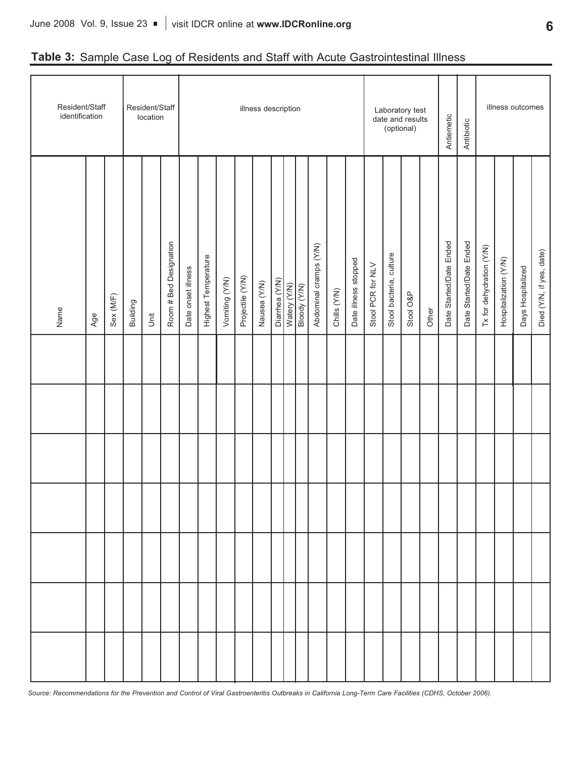# **Table 3:** Sample Case Log of Residents and Staff with Acute Gastrointestinal Illness

| Resident/Staff<br>identification |     |           |          | location | Resident/Staff<br>illness description<br>Laboratory test<br>date and results<br>(optional) |                    |                     |                |                  |              |  |                                |              |                        |              |                      |                   | Antiemetic              | Antibiotic |       |                         | illness outcomes        |                          |                       |                   |                          |
|----------------------------------|-----|-----------|----------|----------|--------------------------------------------------------------------------------------------|--------------------|---------------------|----------------|------------------|--------------|--|--------------------------------|--------------|------------------------|--------------|----------------------|-------------------|-------------------------|------------|-------|-------------------------|-------------------------|--------------------------|-----------------------|-------------------|--------------------------|
| Name                             | Age | Sex (M/F) | Building | Jnit     | Room # Bed Designation                                                                     | Date onset illness | Highest Temperature | Vomiting (Y/N) | Projectile (Y/N) | Nausea (Y/N) |  | Diarrhea (Y/N)<br>Watery (Y/N) | Bloody (Y/N) | Abdominal cramps (Y/N) | Chills (Y/N) | Date illness stopped | Stool PCR for NLV | Stool bacteria, culture | Stool O&P  | Other | Date Started/Date Ended | Date Started/Date Ended | Tx for dehydration (Y/N) | Hospitalization (Y/N) | Days Hospitalized | Died (Y/N, if yes, date) |
|                                  |     |           |          |          |                                                                                            |                    |                     |                |                  |              |  |                                |              |                        |              |                      |                   |                         |            |       |                         |                         |                          |                       |                   |                          |
|                                  |     |           |          |          |                                                                                            |                    |                     |                |                  |              |  |                                |              |                        |              |                      |                   |                         |            |       |                         |                         |                          |                       |                   |                          |
|                                  |     |           |          |          |                                                                                            |                    |                     |                |                  |              |  |                                |              |                        |              |                      |                   |                         |            |       |                         |                         |                          |                       |                   |                          |
|                                  |     |           |          |          |                                                                                            |                    |                     |                |                  |              |  |                                |              |                        |              |                      |                   |                         |            |       |                         |                         |                          |                       |                   |                          |
|                                  |     |           |          |          |                                                                                            |                    |                     |                |                  |              |  |                                |              |                        |              |                      |                   |                         |            |       |                         |                         |                          |                       |                   |                          |
|                                  |     |           |          |          |                                                                                            |                    |                     |                |                  |              |  |                                |              |                        |              |                      |                   |                         |            |       |                         |                         |                          |                       |                   |                          |
|                                  |     |           |          |          |                                                                                            |                    |                     |                |                  |              |  |                                |              |                        |              |                      |                   |                         |            |       |                         |                         |                          |                       |                   |                          |

Source: Recommendations for the Prevention and Control of Viral Gastroenteritis Outbreaks in California Long-Term Care Facilities (CDHS, October 2006).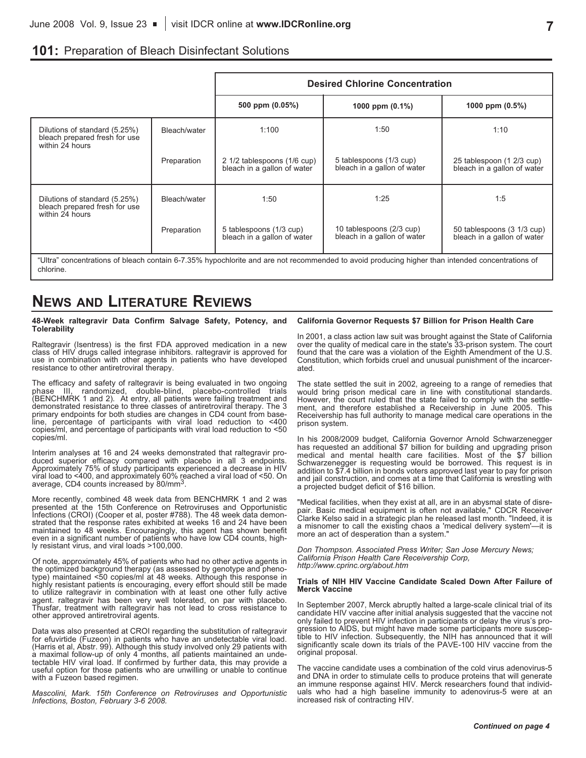# **101:** Preparation of Bleach Disinfectant Solutions

|                                                                                   |              | <b>Desired Chlorine Concentration</b>                      |                                                                                                                                                 |                                                           |  |  |  |  |  |  |
|-----------------------------------------------------------------------------------|--------------|------------------------------------------------------------|-------------------------------------------------------------------------------------------------------------------------------------------------|-----------------------------------------------------------|--|--|--|--|--|--|
|                                                                                   |              | 500 ppm (0.05%)                                            | 1000 ppm (0.1%)                                                                                                                                 | 1000 ppm (0.5%)                                           |  |  |  |  |  |  |
| Dilutions of standard (5.25%)<br>bleach prepared fresh for use<br>within 24 hours | Bleach/water | 1:100                                                      | 1:50                                                                                                                                            | 1:10                                                      |  |  |  |  |  |  |
|                                                                                   | Preparation  | 2 1/2 tablespoons (1/6 cup)<br>bleach in a gallon of water | 5 tablespoons (1/3 cup)<br>bleach in a gallon of water                                                                                          | 25 tablespoon (1 2/3 cup)<br>bleach in a gallon of water  |  |  |  |  |  |  |
| Dilutions of standard (5.25%)<br>bleach prepared fresh for use<br>within 24 hours | Bleach/water | 1:50                                                       | 1:25                                                                                                                                            | 1:5                                                       |  |  |  |  |  |  |
|                                                                                   | Preparation  | 5 tablespoons (1/3 cup)<br>bleach in a gallon of water     | 10 tablespoons (2/3 cup)<br>bleach in a gallon of water                                                                                         | 50 tablespoons (3 1/3 cup)<br>bleach in a gallon of water |  |  |  |  |  |  |
| chlorine.                                                                         |              |                                                            | "Ultra" concentrations of bleach contain 6-7.35% hypochlorite and are not recommended to avoid producing higher than intended concentrations of |                                                           |  |  |  |  |  |  |

# **NEWS AND LITERATURE REVIEWS**

**48-Week raltegravir Data Confirm Salvage Safety, Potency, and Tolerability**

Raltegravir (Isentress) is the first FDA approved medication in a new class of HIV drugs called integrase inhibitors. raltegravir is approved for use in combination with other agents in patients who have developed resistan

The efficacy and safety of raltegravir is being evaluated in two ongoing phase III, randomized, double-blind, placebo-controlled trials (BENCHMRK <sup>1</sup> and 2). At entry, all patients were failing treatment and demonstrated resistance to three classes of antiretroviral therapy. The 3 primary endpoints for both studies are changes in CD4 count from baseline, percentage of participants with viral load reduction to <400 copies/ml, and percentage of participants with viral load reduction to <50 copies/ml.

Interim analyses at 16 and 24 weeks demonstrated that raltegravir pro-<br>duced superior efficacy compared with placebo in all 3 endpoints.<br>Approximately 75% of study participants experienced a decrease in HIV<br>viral load to

More recently, combined 48 week data from BENCHMRK 1 and 2 was<br>presented at the 15th Conference on Retroviruses and Opportunistic<br>Infections (CROI) (Cooper et al, poster #788). The 48 week data demon-<br>strated that the resp

Of note, approximately 45% of patients who had no other active agents in<br>the optimized background therapy (as assessed by genotype and pheno-<br>type) maintained <50 copies/ml at 48 weeks. Although this response in<br>highly res

Data was also presented at CROI regarding the substitution of raltegravir<br>for efuvirtide (Fuzeon) in patients who have an undetectable viral load.<br>(Harris et al, Abstr. 99). Although this study involved only 29 patients wi

*Mascolini, Mark. 15th Conference on Retroviruses and Opportunistic Infections, Boston, February 3-6 2008.*

#### **California Governor Requests \$7 Billion for Prison Health Care**

In 2001, <sup>a</sup> class action law suit was brought against the State of California over the quality of medical care in the state's 33-prison system. The court found that the care was <sup>a</sup> violation of the Eighth Amendment of the U.S. Constitution, which forbids cruel and unusual punishment of the incarcer- ated.

The state settled the suit in 2002, agreeing to a range of remedies that would bring prison medical care in line with constitutional standards. However, the court ruled that the state failed to comply with the settlement,

In his 2008/2009 budget, California Governor Arnold Schwarzenegger<br>has requested an additional  $$7$  billion for building and upgrading prison<br>medical and mental health care facilities. Most of the  $$7$  billion<br>Schwarzeneg

"Medical facilities, when they exist at all, are in an abysmal state of disre- pair. Basic medical equipment is often not available," CDCR Receiver Clarke Kelso said in a strategic plan he released last month. "Indeed, it is a misnomer to call the existing chaos a 'medical delivery system'—it is more an act of desperation than a system.

*Don Thompson. Associated Press Writer; San Jose Mercury News; California Prison Health Care Receivership Corp, http://www.cprinc.org/about.htm*

#### **Trials of NIH HIV Vaccine Candidate Scaled Down After Failure of Merck Vaccine**

In September 2007, Merck abruptly halted a large-scale clinical trial of its candidate HIV vaccine after initial analysis suggested that the vaccine not only failed to prevent HIV infection in participants or delay the virus's progression to AIDS, but might have made some participants more suscep-Subsequently, the NIH has announced that it will significantly scale down its trials of the PAVE-100 HIV vaccine from the original proposal.

The vaccine candidate uses a combination of the cold virus adenovirus-5<br>and DNA in order to stimulate cells to produce proteins that will generate<br>an immune response against HIV. Merck researchers found that individ-<br>uals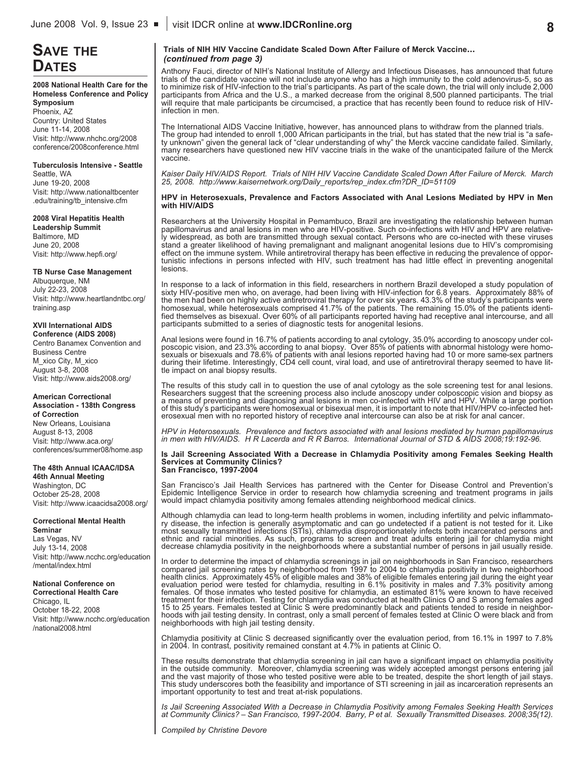# **SAVE THE**

**2008 National Health Care for the Homeless Conference and Policy Symposium** Phoenix, AZ Country: United States June 11-14, 2008 Visit: http://www.nhchc.org/2008 conference/2008conference.html

### **Tuberculosis Intensive - Seattle**

Seattle, WA June 19-20, 2008 Visit: http://www.nationaltbcenter .edu/training/tb\_intensive.cfm

#### **2008 Viral Hepatitis Health**

**Leadership Summit** Baltimore, MD June 20, 2008 Visit: http://www.hepfi.org/

#### **TB Nurse Case Management**

Albuquerque, NM July 22-23, 2008 Visit: http://www.heartlandntbc.org/ training.asp

#### **XVII International AIDS Conference (AIDS 2008)**

Centro Banamex Convention and Business Centre M\_xico City, M\_xico August 3-8, 2008 Visit: http://www.aids2008.org/

#### **American Correctional Association - 138th Congress of Correction**

New Orleans, Louisiana August 8-13, 2008 Visit: http://www.aca.org/ conferences/summer08/home.asp

#### **The 48th Annual ICAAC/IDSA 46th Annual Meeting**

Washington, DC October 25-28, 2008 Visit: http://www.icaacidsa2008.org/

#### **Correctional Mental Health**

**Seminar** Las Vegas, NV July 13-14, 2008 Visit: http://www.ncchc.org/education /mental/index.html

#### **National Conference on Correctional Health Care**

Chicago, IL October 18-22, 2008 Visit: http://www.ncchc.org/education /national2008.html

#### **Trials of NIH HIV Vaccine Candidate Scaled Down After Failure of Merck Vaccine...** *(continued from page 3)*

**DATES** Anthony Fauci, director of NIH's National Institute of Allergy and Infectious Diseases, has announced that future trials of the candidate vaccine will not include anyone who has a high immunity to the cold adenovirus-5, so as to minimize risk of HIV-infection to the trial's participants. As part of the scale down, the trial will only include 2,000 participants from Africa and the U.S., a marked decrease from the original 8,500 planned participants. The trial will require that male participants be circumcised, a practice that has recently been found to reduce risk of HIVinfection in men.

> The International AIDS Vaccine Initiative, however, has announced plans to withdraw from the planned trials. The group had intended to enroll 1,000 African participants in the trial, but has stated that the new trial is "a safety unknown" given the general lack of "clear understanding of why" the Merck vaccine candidate failed. Similarly, many researchers have questioned new HIV vaccine trials in the wake of the unanticipated failure of the Merck vaccine.

> Kaiser Daily HIV/AIDS Report. Trials of NIH HIV Vaccine Candidate Scaled Down After Failure of Merck. March *25, 2008. http://www.kaisernetwork.org/Daily\_reports/rep\_index.cfm?DR\_ID=51109*

#### **HPV in Heterosexuals, Prevalence and Factors Associated with Anal Lesions Mediated by HPV in Men with HIV/AIDS**

Researchers at the University Hospital in Pemambuco, Brazil are investigating the relationship between human papillomavirus and anal lesions in men who are HIV-positive. Such co-infections with HIV and HPV are relatively widespread, as both are transmitted through sexual contact. Persons who are co-inected with these viruses stand a greater likelihood of having premalignant and malignant anogenital lesions due to HIV's compromising effect on the immune system. While antiretroviral therapy has been effective in reducing the prevalence of opportunistic infections in persons infected with HIV, such treatment has had little effect in preventing anogenital lesions.

In response to a lack of information in this field, researchers in northern Brazil developed a study population of sixty HIV-positive men who, on average, had been living with HIV-infection for 6.8 years. Approximately 88% the men had been on highly active antiretroviral therapy for over six years. 43.3% of the study's participants were<br>homosexual, while heterosexuals comprised 41.7% of the patients. The remaining 15.0% of the patients ident participants submitted to a series of diagnostic tests for anogenital lesions.

Anal lesions were found in 16.7% of patients according to anal cytology, 35.0% according to anoscopy under col-<br>poscopic vision, and 23.3% according to anal biopsy. Over 85% of patients with abnormal histology were homo-<br>s

The results of this study call in to question the use of anal cytology as the sole screening test for anal lesions.<br>Researchers suggest that the screening process also include anoscopy under colposcopic vision and biopsy a

HPV in Heterosexuals. Prevalence and factors associated with anal lesions mediated by human papillomavirus<br>in men with HIV/AIDS. H R Lacerda and R R Barros. International Journal of STD & AIDS 2008;19:192-96.

#### **Is Jail Screening Associated With a Decrease in Chlamydia Positivity among Females Seeking Health Services at Community Clinics? San Francisco, 1997-2004**

San Francisco's Jail Health Services has partnered with the Center for Disease Control and Prevention's Epidemic Intelligence Service in order to research how chlamydia screening and treatment programs in jails would impac

Although chlamydia can lead to long-term health problems in women, including infertility and pelvic inflammatory disease, the infection is generally asymptomatic and can go undetected if a patient is not tested for it. Lik decrease chlamydia positivity in the neighborhoods where a substantial number of persons in jail usually reside.

In order to determine the impact of chlamydia screenings in jail on neighborhoods in San Francisco, researchers<br>compared jail screening rates by neighborhood from 1997 to 2004 to chlamydia positivity in two neighborhood health clinics. Approximately 45% of eligible males and 38% of eligible females entering jail during the eight year<br>evaluation period were tested for chlamydia, resulting in 6.1% positivity in males and 7.3% positivity am females. Of those inmates who tested positive for chlamydia, an estimated 81% were known to have received treatment for their infection. Testing for chlamydia was conducted at health Clinics O and S among females aged<br>15 to 25 years. Females tested at Clinic S were predominantly black and patients tended to reside in neighborhoods with jail testing density. In contrast, only a small percent of females tested at Clinic O were black and from<br>neighborhoods with high jail testing density.

Chlamydia positivity at Clinic S decreased significantly over the evaluation period, from 16.1% in 1997 to 7.8% in 2004. In contrast, positivity remained constant at 4.7% in patients at Clinic O.

These results demonstrate that chlamydia screening in jail can have a significant impact on chlamydia positivity in the outside community. Moreover, chlamydia screening was widely accepted amongst persons entering jail<br>and the vast majority of those who tested positive were able to be treated, despite the short length of jail stays.<br>

Is Jail Screening Associated With a Decrease in Chlamydia Positivity among Females Seeking Health Services<br>at Community Clinics? – San Francisco, 1997-2004. Barry, P et al. Sexually Transmitted Diseases. 2008;35(12).

*Compiled by Christine Devore*